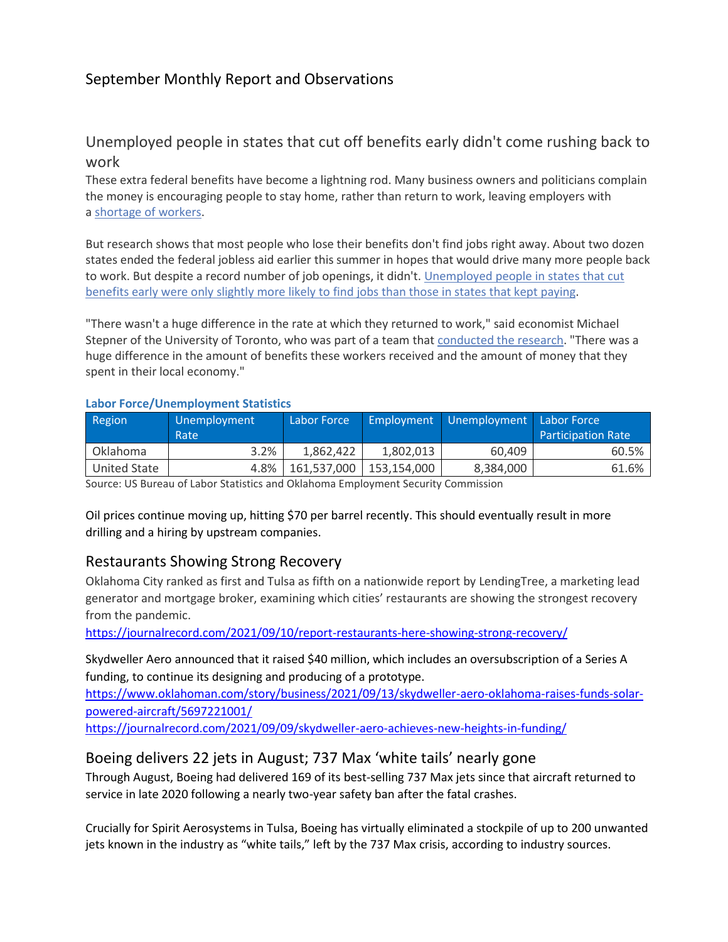## September Monthly Report and Observations

## Unemployed people in states that cut off benefits early didn't come rushing back to work

These extra federal benefits have become a lightning rod. Many business owners and politicians complain the money is encouraging people to stay home, rather than return to work, leaving employers with a [shortage](https://www.npr.org/series/1017985033/help-wanted-where-are-the-workers) of workers.

But research shows that most people who lose their benefits don't find jobs right away. About two dozen states ended the federal jobless aid earlier this summer in hopes that would drive many more people back to work. But despite a record number of job openings, it didn't. [Unemployed](https://files.michaelstepner.com/pandemicUIexpiration-summary.pdf) people in states that cut [benefits](https://files.michaelstepner.com/pandemicUIexpiration-summary.pdf) early were only slightly more likely to find jobs than those in states that kept paying.

"There wasn't a huge difference in the rate at which they returned to work," said economist Michael Stepner of the University of Toronto, who was part of a team that [conducted](https://files.michaelstepner.com/pandemicUIexpiration-paper.pdf) the research. "There was a huge difference in the amount of benefits these workers received and the amount of money that they spent in their local economy."

| Region          | Unemployment<br>Rate | Labor Force |             | Employment   Unemployment   Labor Force | <b>Participation Rate</b> |
|-----------------|----------------------|-------------|-------------|-----------------------------------------|---------------------------|
| <b>Oklahoma</b> | 3.2%                 | 1.862.422   | 1.802.013   | 60.409                                  | 60.5%                     |
| United State    | 4.8%                 | 161.537.000 | 153.154.000 | 8,384,000                               | 61.6%                     |

#### **Labor Force/Unemployment Statistics**

Source: US Bureau of Labor Statistics and Oklahoma Employment Security Commission

Oil prices continue moving up, hitting \$70 per barrel recently. This should eventually result in more drilling and a hiring by upstream companies.

## Restaurants Showing Strong Recovery

Oklahoma City ranked as first and Tulsa as fifth on a nationwide report by LendingTree, a marketing lead generator and mortgage broker, examining which cities' restaurants are showing the strongest recovery from the pandemic.

<https://journalrecord.com/2021/09/10/report-restaurants-here-showing-strong-recovery/>

Skydweller Aero announced that it raised \$40 million, which includes an oversubscription of a Series A funding, to continue its designing and producing of a prototype.

[https://www.oklahoman.com/story/business/2021/09/13/skydweller-aero-oklahoma-raises-funds-solar](https://www.oklahoman.com/story/business/2021/09/13/skydweller-aero-oklahoma-raises-funds-solar-powered-aircraft/5697221001/)[powered-aircraft/5697221001/](https://www.oklahoman.com/story/business/2021/09/13/skydweller-aero-oklahoma-raises-funds-solar-powered-aircraft/5697221001/)

<https://journalrecord.com/2021/09/09/skydweller-aero-achieves-new-heights-in-funding/>

## Boeing delivers 22 jets in August; 737 Max 'white tails' nearly gone

Through August, Boeing had delivered 169 of its best-selling 737 Max jets since that aircraft returned to service in late 2020 following a nearly two-year safety ban after the fatal crashes.

Crucially for Spirit Aerosystems in Tulsa, Boeing has virtually eliminated a stockpile of up to 200 unwanted jets known in the industry as "white tails," left by the 737 Max crisis, according to industry sources.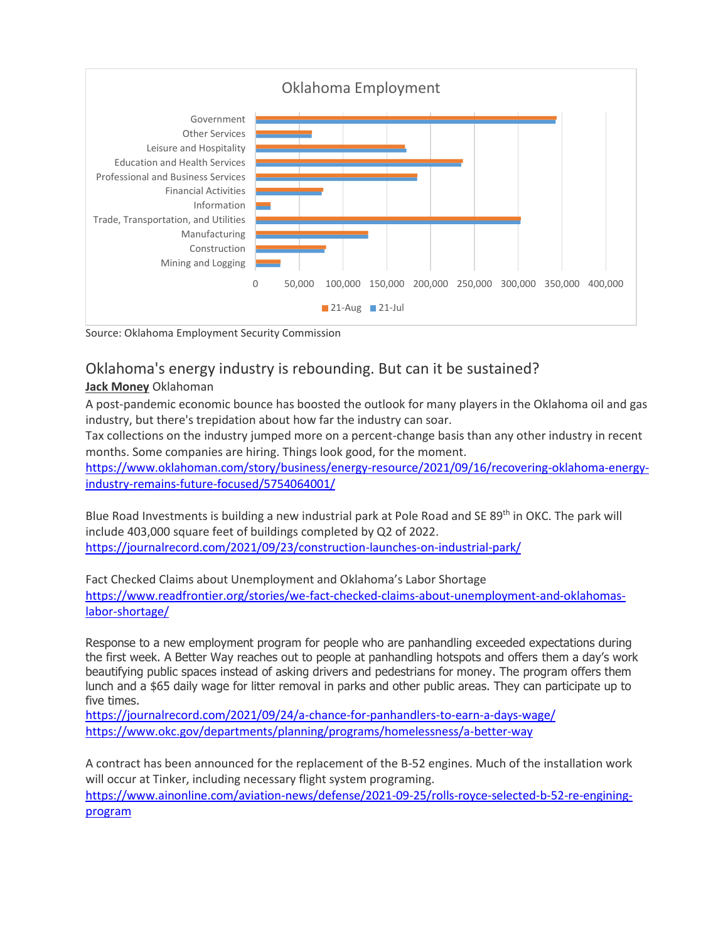

Source: Oklahoma Employment Security Commission

# Oklahoma's energy industry is rebounding. But can it be sustained?

### **[Jack Money](https://www.oklahoman.com/staff/4228556001/jack-money/)** Oklahoman

A post-pandemic economic bounce has boosted the outlook for many players in the Oklahoma oil and gas industry, but there's trepidation about how far the industry can soar.

Tax collections on the industry jumped more on a percent-change basis than any other industry in recent months. Some companies are hiring. Things look good, for the moment.

[https://www.oklahoman.com/story/business/energy-resource/2021/09/16/recovering-oklahoma-energy](https://www.oklahoman.com/story/business/energy-resource/2021/09/16/recovering-oklahoma-energy-industry-remains-future-focused/5754064001/)[industry-remains-future-focused/5754064001/](https://www.oklahoman.com/story/business/energy-resource/2021/09/16/recovering-oklahoma-energy-industry-remains-future-focused/5754064001/)

Blue Road Investments is building a new industrial park at Pole Road and SE 89<sup>th</sup> in OKC. The park will include 403,000 square feet of buildings completed by Q2 of 2022. <https://journalrecord.com/2021/09/23/construction-launches-on-industrial-park/>

Fact Checked Claims about Unemployment and Oklahoma's Labor Shortage [https://www.readfrontier.org/stories/we-fact-checked-claims-about-unemployment-and-oklahomas](https://www.readfrontier.org/stories/we-fact-checked-claims-about-unemployment-and-oklahomas-labor-shortage/)[labor-shortage/](https://www.readfrontier.org/stories/we-fact-checked-claims-about-unemployment-and-oklahomas-labor-shortage/)

Response to a new employment program for people who are panhandling exceeded expectations during the first week. A Better Way reaches out to people at panhandling hotspots and offers them a day's work beautifying public spaces instead of asking drivers and pedestrians for money. The program offers them lunch and a \$65 daily wage for litter removal in parks and other public areas. They can participate up to five times.

<https://journalrecord.com/2021/09/24/a-chance-for-panhandlers-to-earn-a-days-wage/> <https://www.okc.gov/departments/planning/programs/homelessness/a-better-way>

A contract has been announced for the replacement of the B-52 engines. Much of the installation work will occur at Tinker, including necessary flight system programing.

[https://www.ainonline.com/aviation-news/defense/2021-09-25/rolls-royce-selected-b-52-re-engining](https://www.ainonline.com/aviation-news/defense/2021-09-25/rolls-royce-selected-b-52-re-engining-program)[program](https://www.ainonline.com/aviation-news/defense/2021-09-25/rolls-royce-selected-b-52-re-engining-program)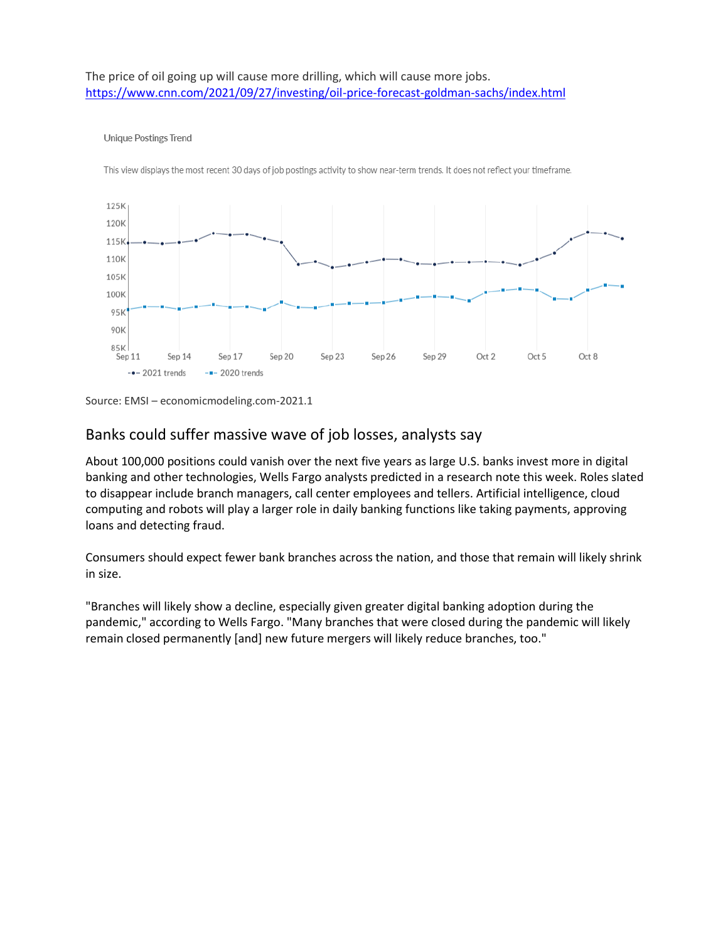#### The price of oil going up will cause more drilling, which will cause more jobs. <https://www.cnn.com/2021/09/27/investing/oil-price-forecast-goldman-sachs/index.html>

#### Unique Postings Trend

This view displays the most recent 30 days of job postings activity to show near-term trends. It does not reflect your timeframe.



Source: EMSI – economicmodeling.com-2021.1

## Banks could suffer massive wave of job losses, analysts say

About 100,000 positions could vanish over the next five years as large U.S. banks invest more in digital banking and other technologies, Wells Fargo analysts predicted in a research note this week. Roles slated to disappear include branch managers, call center employees and tellers. Artificial intelligence, cloud computing and robots will play a larger role in daily banking functions like taking payments, approving loans and detecting fraud.

Consumers should expect fewer bank branches across the nation, and those that remain will likely shrink in size.

"Branches will likely show a decline, especially given greater digital banking adoption during the pandemic," according to Wells Fargo. "Many branches that were closed during the pandemic will likely remain closed permanently [and] new future mergers will likely reduce branches, too."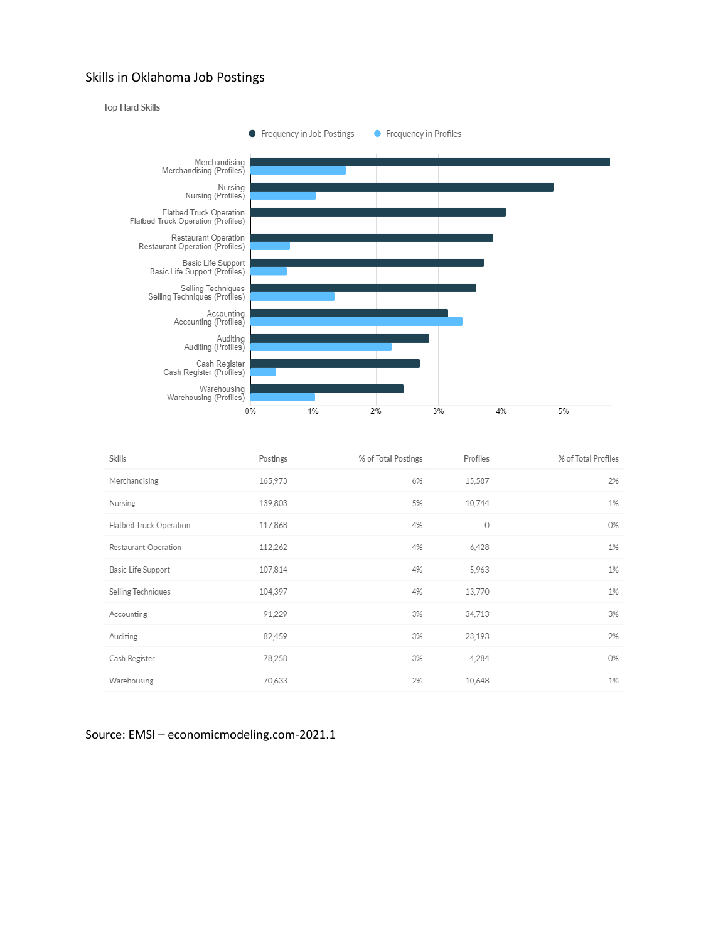#### Skills in Oklahoma Job Postings



| 15,587<br>2%<br>Merchandising<br>165,973<br>6%<br>10,744<br>1%<br>Nursing<br>139,803<br>5%<br>0<br>Flatbed Truck Operation<br>117,868<br>4%<br>0%<br>1%<br>Restaurant Operation<br>112,262<br>4%<br>6,428<br>5,963<br>1%<br>107,814<br>4%<br>Basic Life Support<br>Selling Techniques<br>104,397<br>13,770<br>1%<br>4%<br>Accounting<br>91,229<br>3%<br>3%<br>34,713<br>2%<br>82,459<br>3%<br>23,193<br>Auditing<br>78,258<br>Cash Register<br>3%<br>4,284<br>0%<br>1%<br>Warehousing<br>70,633<br>2%<br>10,648 | Skills | Postings | % of Total Postings | Profiles | % of Total Profiles |
|-----------------------------------------------------------------------------------------------------------------------------------------------------------------------------------------------------------------------------------------------------------------------------------------------------------------------------------------------------------------------------------------------------------------------------------------------------------------------------------------------------------------|--------|----------|---------------------|----------|---------------------|
|                                                                                                                                                                                                                                                                                                                                                                                                                                                                                                                 |        |          |                     |          |                     |
|                                                                                                                                                                                                                                                                                                                                                                                                                                                                                                                 |        |          |                     |          |                     |
|                                                                                                                                                                                                                                                                                                                                                                                                                                                                                                                 |        |          |                     |          |                     |
|                                                                                                                                                                                                                                                                                                                                                                                                                                                                                                                 |        |          |                     |          |                     |
|                                                                                                                                                                                                                                                                                                                                                                                                                                                                                                                 |        |          |                     |          |                     |
|                                                                                                                                                                                                                                                                                                                                                                                                                                                                                                                 |        |          |                     |          |                     |
|                                                                                                                                                                                                                                                                                                                                                                                                                                                                                                                 |        |          |                     |          |                     |
|                                                                                                                                                                                                                                                                                                                                                                                                                                                                                                                 |        |          |                     |          |                     |
|                                                                                                                                                                                                                                                                                                                                                                                                                                                                                                                 |        |          |                     |          |                     |
|                                                                                                                                                                                                                                                                                                                                                                                                                                                                                                                 |        |          |                     |          |                     |

#### Source: EMSI – economicmodeling.com-2021.1